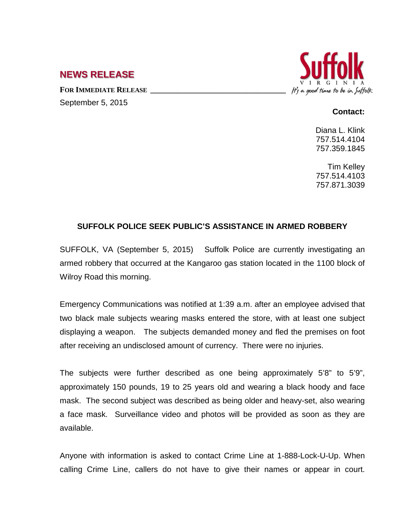## **NEWS RELEASE**

FOR **IMMEDIATE RELEASE** September 5, 2015



## **Contact:**

Diana L. Klink 757.514.4104 757.359.1845

Tim Kelley 757.514.4103 757.871.3039

## **SUFFOLK POLICE SEEK PUBLIC'S ASSISTANCE IN ARMED ROBBERY**

SUFFOLK, VA (September 5, 2015) Suffolk Police are currently investigating an armed robbery that occurred at the Kangaroo gas station located in the 1100 block of Wilroy Road this morning.

Emergency Communications was notified at 1:39 a.m. after an employee advised that two black male subjects wearing masks entered the store, with at least one subject displaying a weapon. The subjects demanded money and fled the premises on foot after receiving an undisclosed amount of currency. There were no injuries.

The subjects were further described as one being approximately 5'8" to 5'9", approximately 150 pounds, 19 to 25 years old and wearing a black hoody and face mask. The second subject was described as being older and heavy-set, also wearing a face mask. Surveillance video and photos will be provided as soon as they are available.

Anyone with information is asked to contact Crime Line at 1-888-Lock-U-Up. When calling Crime Line, callers do not have to give their names or appear in court.